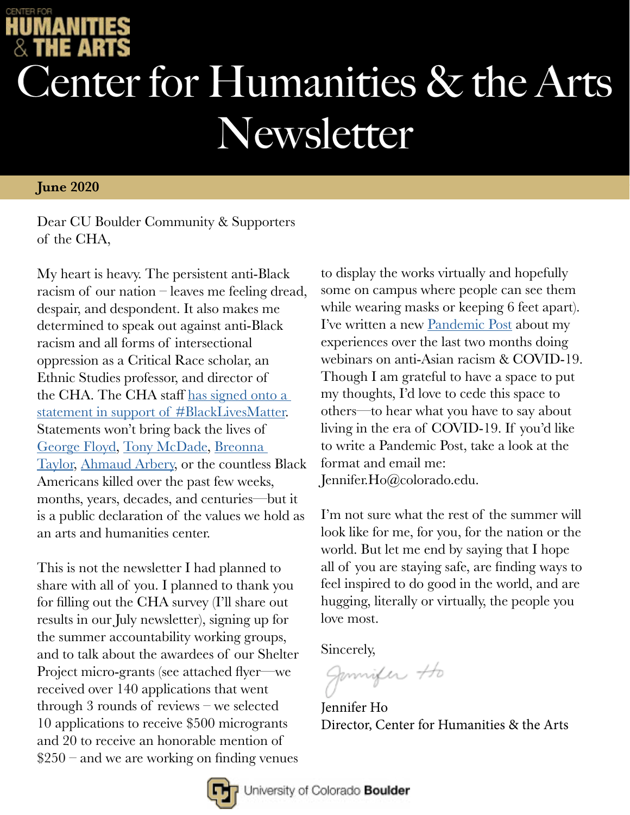## Center for Humanities & the Arts Newsletter

## **June 2020**

Dear CU Boulder Community & Supporters of the CHA,

My heart is heavy. The persistent anti-Black racism of our nation – leaves me feeling dread, despair, and despondent. It also makes me determined to speak out against anti-Black racism and all forms of intersectional oppression as a Critical Race scholar, an Ethnic Studies professor, and director of the CHA. The CHA staff has signed onto a [statement in support of #BlackLivesMatter](https://www.colorado.edu/cha/). Statements won't bring back the lives of [George Floyd,](https://www.cnn.com/2020/05/27/us/george-floyd-trnd/index.html) [Tony McDade](https://www.advocate.com/crime/2020/5/29/black-trans-man-tony-mcdade-killed-police-florida), [Breonna](https://www.thecut.com/2020/05/breonna-taylor-louisville-shooting-police-what-we-know.html)  [Taylor](https://www.thecut.com/2020/05/breonna-taylor-louisville-shooting-police-what-we-know.html), [Ahmaud Arbery](https://www.npr.org/2020/05/26/861992342/arbery-shooting-sparks-racism-corruption-questions-about-georgia-county), or the countless Black Americans killed over the past few weeks, months, years, decades, and centuries—but it is a public declaration of the values we hold as an arts and humanities center.

This is not the newsletter I had planned to share with all of you. I planned to thank you for filling out the CHA survey (I'll share out results in our July newsletter), signing up for the summer accountability working groups, and to talk about the awardees of our Shelter Project micro-grants (see attached flyer—we received over 140 applications that went through 3 rounds of reviews – we selected 10 applications to receive \$500 microgrants and 20 to receive an honorable mention of  $$250$  – and we are working on finding venues

to display the works virtually and hopefully some on campus where people can see them while wearing masks or keeping 6 feet apart). I've written a new [Pandemic Post](https://www.colorado.edu/cha/coping-covid-19/pandemic-posts) about my experiences over the last two months doing webinars on anti-Asian racism & COVID-19. Though I am grateful to have a space to put my thoughts, I'd love to cede this space to others—to hear what you have to say about living in the era of COVID-19. If you'd like to write a Pandemic Post, take a look at the format and email me: Jennifer.Ho@colorado.edu.

I'm not sure what the rest of the summer will look like for me, for you, for the nation or the world. But let me end by saying that I hope all of you are staying safe, are finding ways to feel inspired to do good in the world, and are hugging, literally or virtually, the people you love most.

Sincerely,

Jannifer Ho

Jennifer Ho Director, Center for Humanities & the Arts